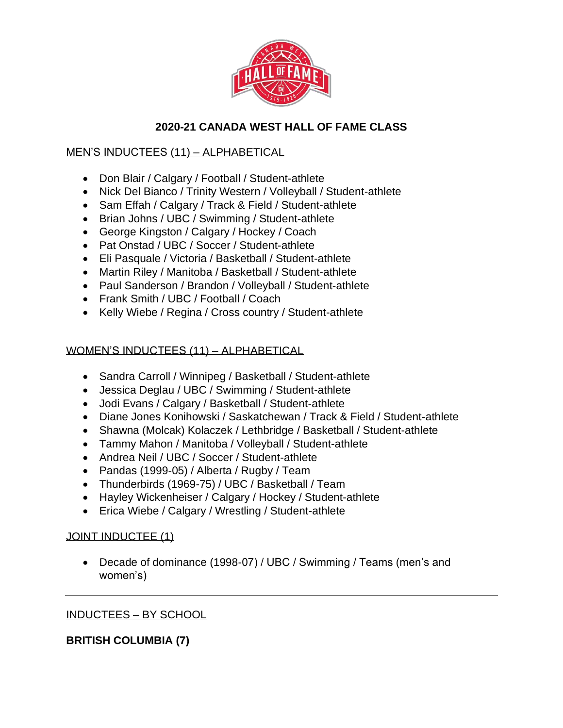

# **2020-21 CANADA WEST HALL OF FAME CLASS**

# MEN'S INDUCTEES (11) – ALPHABETICAL

- Don Blair / Calgary / Football / Student-athlete
- Nick Del Bianco / Trinity Western / Volleyball / Student-athlete
- Sam Effah / Calgary / Track & Field / Student-athlete
- Brian Johns / UBC / Swimming / Student-athlete
- George Kingston / Calgary / Hockey / Coach
- Pat Onstad / UBC / Soccer / Student-athlete
- Eli Pasquale / Victoria / Basketball / Student-athlete
- Martin Riley / Manitoba / Basketball / Student-athlete
- Paul Sanderson / Brandon / Volleyball / Student-athlete
- Frank Smith / UBC / Football / Coach
- Kelly Wiebe / Regina / Cross country / Student-athlete

# WOMEN'S INDUCTEES (11) – ALPHABETICAL

- Sandra Carroll / Winnipeg / Basketball / Student-athlete
- Jessica Deglau / UBC / Swimming / Student-athlete
- Jodi Evans / Calgary / Basketball / Student-athlete
- Diane Jones Konihowski / Saskatchewan / Track & Field / Student-athlete
- Shawna (Molcak) Kolaczek / Lethbridge / Basketball / Student-athlete
- Tammy Mahon / Manitoba / Volleyball / Student-athlete
- Andrea Neil / UBC / Soccer / Student-athlete
- Pandas (1999-05) / Alberta / Rugby / Team
- Thunderbirds (1969-75) / UBC / Basketball / Team
- Hayley Wickenheiser / Calgary / Hockey / Student-athlete
- Erica Wiebe / Calgary / Wrestling / Student-athlete

## JOINT INDUCTEE (1)

• Decade of dominance (1998-07) / UBC / Swimming / Teams (men's and women's)

## INDUCTEES – BY SCHOOL

# **BRITISH COLUMBIA (7)**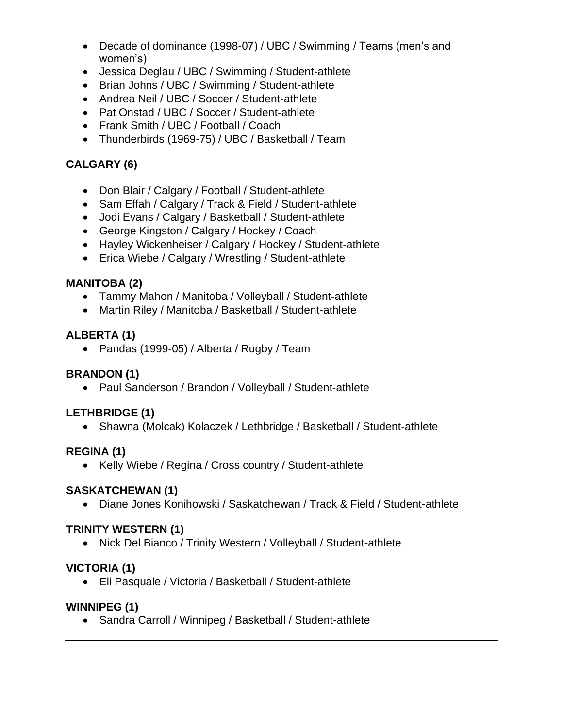- Decade of dominance (1998-07) / UBC / Swimming / Teams (men's and women's)
- Jessica Deglau / UBC / Swimming / Student-athlete
- Brian Johns / UBC / Swimming / Student-athlete
- Andrea Neil / UBC / Soccer / Student-athlete
- Pat Onstad / UBC / Soccer / Student-athlete
- Frank Smith / UBC / Football / Coach
- Thunderbirds (1969-75) / UBC / Basketball / Team

# **CALGARY (6)**

- Don Blair / Calgary / Football / Student-athlete
- Sam Effah / Calgary / Track & Field / Student-athlete
- Jodi Evans / Calgary / Basketball / Student-athlete
- George Kingston / Calgary / Hockey / Coach
- Hayley Wickenheiser / Calgary / Hockey / Student-athlete
- Erica Wiebe / Calgary / Wrestling / Student-athlete

#### **MANITOBA (2)**

- Tammy Mahon / Manitoba / Volleyball / Student-athlete
- Martin Riley / Manitoba / Basketball / Student-athlete

#### **ALBERTA (1)**

• Pandas (1999-05) / Alberta / Rugby / Team

## **BRANDON (1)**

• Paul Sanderson / Brandon / Volleyball / Student-athlete

## **LETHBRIDGE (1)**

• Shawna (Molcak) Kolaczek / Lethbridge / Basketball / Student-athlete

## **REGINA (1)**

• Kelly Wiebe / Regina / Cross country / Student-athlete

## **SASKATCHEWAN (1)**

• Diane Jones Konihowski / Saskatchewan / Track & Field / Student-athlete

#### **TRINITY WESTERN (1)**

• Nick Del Bianco / Trinity Western / Volleyball / Student-athlete

## **VICTORIA (1)**

• Eli Pasquale / Victoria / Basketball / Student-athlete

#### **WINNIPEG (1)**

• Sandra Carroll / Winnipeg / Basketball / Student-athlete